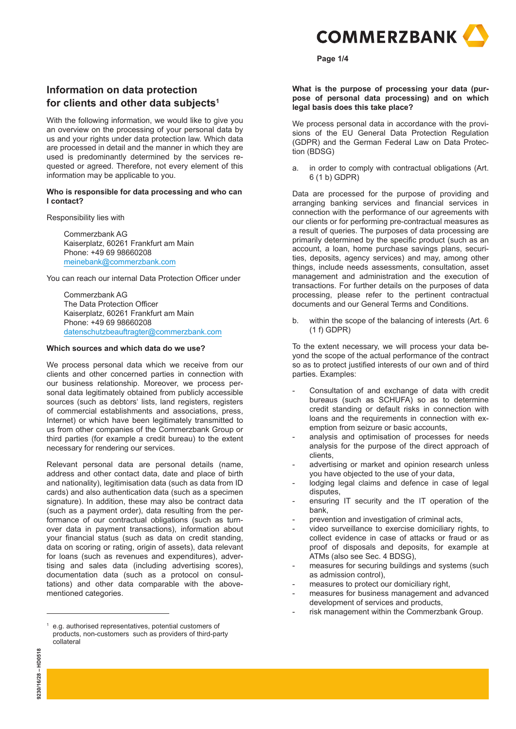

#### **Page 1/4**

## **Information on data protection for clients and other data subjects1**

With the following information, we would like to give you an overview on the processing of your personal data by us and your rights under data protection law. Which data are processed in detail and the manner in which they are used is predominantly determined by the services requested or agreed. Therefore, not every element of this information may be applicable to you.

#### **Who is responsible for data processing and who can I contact?**

Responsibility lies with

 Commerzbank AG Kaiserplatz, 60261 Frankfurt am Main Phone: +49 69 98660208 meinebank@commerzbank.com

You can reach our internal Data Protection Officer under

 Commerzbank AG The Data Protection Officer Kaiserplatz, 60261 Frankfurt am Main Phone: +49 69 98660208 datenschutzbeauftragter@commerzbank.com

### **Which sources and which data do we use?**

We process personal data which we receive from our clients and other concerned parties in connection with our business relationship. Moreover, we process personal data legitimately obtained from publicly accessible sources (such as debtors' lists, land registers, registers of commercial establishments and associations, press, Internet) or which have been legitimately transmitted to us from other companies of the Commerzbank Group or third parties (for example a credit bureau) to the extent necessary for rendering our services.

Relevant personal data are personal details (name, address and other contact data, date and place of birth and nationality), legitimisation data (such as data from ID cards) and also authentication data (such as a specimen signature). In addition, these may also be contract data (such as a payment order), data resulting from the performance of our contractual obligations (such as turnover data in payment transactions), information about your financial status (such as data on credit standing, data on scoring or rating, origin of assets), data relevant for loans (such as revenues and expenditures), advertising and sales data (including advertising scores), documentation data (such as a protocol on consultations) and other data comparable with the abovementioned categories.

**What is the purpose of processing your data (purpose of personal data processing) and on which legal basis does this take place?**

We process personal data in accordance with the provisions of the EU General Data Protection Regulation (GDPR) and the German Federal Law on Data Protection (BDSG)

a. in order to comply with contractual obligations (Art. 6 (1 b) GDPR)

Data are processed for the purpose of providing and arranging banking services and financial services in connection with the performance of our agreements with our clients or for performing pre-contractual measures as a result of queries. The purposes of data processing are primarily determined by the specific product (such as an account, a loan, home purchase savings plans, securities, deposits, agency services) and may, among other things, include needs assessments, consultation, asset management and administration and the execution of transactions. For further details on the purposes of data processing, please refer to the pertinent contractual documents and our General Terms and Conditions.

b. within the scope of the balancing of interests (Art. 6 (1 f) GDPR)

To the extent necessary, we will process your data beyond the scope of the actual performance of the contract so as to protect justified interests of our own and of third parties. Examples:

- Consultation of and exchange of data with credit bureaus (such as SCHUFA) so as to determine credit standing or default risks in connection with loans and the requirements in connection with exemption from seizure or basic accounts,
- analysis and optimisation of processes for needs analysis for the purpose of the direct approach of clients,
- advertising or market and opinion research unless you have objected to the use of your data,
- lodging legal claims and defence in case of legal disputes,
- ensuring IT security and the IT operation of the bank,
- prevention and investigation of criminal acts,
- video surveillance to exercise domiciliary rights, to collect evidence in case of attacks or fraud or as proof of disposals and deposits, for example at ATMs (also see Sec. 4 BDSG),
- measures for securing buildings and systems (such as admission control),
- measures to protect our domiciliary right,
- measures for business management and advanced development of services and products,
- risk management within the Commerzbank Group.

<sup>1</sup> e.g. authorised representatives, potential customers of products, non-customers such as providers of third-party collateral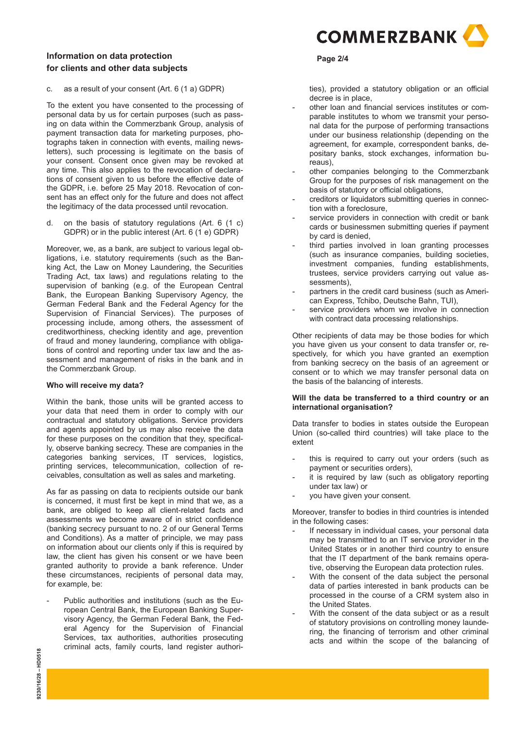## **Page 2/4 Information on data protection for clients and other data subjects**

c. as a result of your consent (Art. 6 (1 a) GDPR)

To the extent you have consented to the processing of personal data by us for certain purposes (such as passing on data within the Commerzbank Group, analysis of payment transaction data for marketing purposes, photographs taken in connection with events, mailing newsletters), such processing is legitimate on the basis of your consent. Consent once given may be revoked at any time. This also applies to the revocation of declarations of consent given to us before the effective date of the GDPR, i.e. before 25 May 2018. Revocation of consent has an effect only for the future and does not affect the legitimacy of the data processed until revocation.

d. on the basis of statutory regulations (Art. 6 (1 c) GDPR) or in the public interest (Art. 6 (1 e) GDPR)

Moreover, we, as a bank, are subject to various legal obligations, i.e. statutory requirements (such as the Banking Act, the Law on Money Laundering, the Securities Trading Act, tax laws) and regulations relating to the supervision of banking (e.g. of the European Central Bank, the European Banking Supervisory Agency, the German Federal Bank and the Federal Agency for the Supervision of Financial Services). The purposes of processing include, among others, the assessment of creditworthiness, checking identity and age, prevention of fraud and money laundering, compliance with obligations of control and reporting under tax law and the assessment and management of risks in the bank and in the Commerzbank Group.

#### **Who will receive my data?**

Within the bank, those units will be granted access to your data that need them in order to comply with our contractual and statutory obligations. Service providers and agents appointed by us may also receive the data for these purposes on the condition that they, specifically, observe banking secrecy. These are companies in the categories banking services, IT services, logistics, printing services, telecommunication, collection of receivables, consultation as well as sales and marketing.

As far as passing on data to recipients outside our bank is concerned, it must first be kept in mind that we, as a bank, are obliged to keep all client-related facts and assessments we become aware of in strict confidence (banking secrecy pursuant to no. 2 of our General Terms and Conditions). As a matter of principle, we may pass on information about our clients only if this is required by law, the client has given his consent or we have been granted authority to provide a bank reference. Under these circumstances, recipients of personal data may, for example, be:

Public authorities and institutions (such as the European Central Bank, the European Banking Supervisory Agency, the German Federal Bank, the Federal Agency for the Supervision of Financial Services, tax authorities, authorities prosecuting criminal acts, family courts, land register authori-



ties), provided a statutory obligation or an official decree is in place,

- other loan and financial services institutes or comparable institutes to whom we transmit your personal data for the purpose of performing transactions under our business relationship (depending on the agreement, for example, correspondent banks, depositary banks, stock exchanges, information bureaus),
- other companies belonging to the Commerzbank Group for the purposes of risk management on the basis of statutory or official obligations,
- creditors or liquidators submitting queries in connection with a foreclosure,
- service providers in connection with credit or bank cards or businessmen submitting queries if payment by card is denied,
- third parties involved in loan granting processes (such as insurance companies, building societies, investment companies, funding establishments, trustees, service providers carrying out value assessments).
- partners in the credit card business (such as American Express, Tchibo, Deutsche Bahn, TUI),
- service providers whom we involve in connection with contract data processing relationships.

Other recipients of data may be those bodies for which you have given us your consent to data transfer or, respectively, for which you have granted an exemption from banking secrecy on the basis of an agreement or consent or to which we may transfer personal data on the basis of the balancing of interests.

#### **Will the data be transferred to a third country or an international organisation?**

Data transfer to bodies in states outside the European Union (so-called third countries) will take place to the extent

- this is required to carry out your orders (such as payment or securities orders),
- it is required by law (such as obligatory reporting under tax law) or
- you have given your consent.

Moreover, transfer to bodies in third countries is intended in the following cases:

- If necessary in individual cases, your personal data may be transmitted to an IT service provider in the United States or in another third country to ensure that the IT department of the bank remains operative, observing the European data protection rules.
- With the consent of the data subject the personal data of parties interested in bank products can be processed in the course of a CRM system also in the United States.
- With the consent of the data subiect or as a result of statutory provisions on controlling money laundering, the financing of terrorism and other criminal acts and within the scope of the balancing of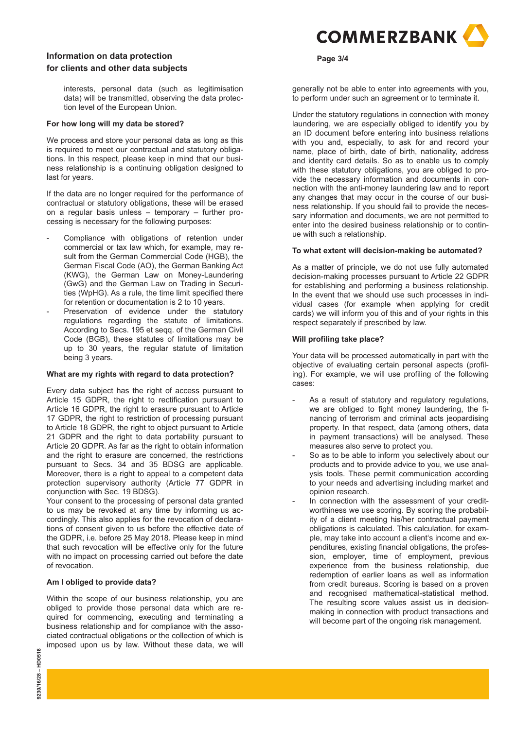## **Page 3/4 Information on data protection for clients and other data subjects**

interests, personal data (such as legitimisation data) will be transmitted, observing the data protection level of the European Union.

### **For how long will my data be stored?**

We process and store your personal data as long as this is required to meet our contractual and statutory obligations. In this respect, please keep in mind that our business relationship is a continuing obligation designed to last for years.

If the data are no longer required for the performance of contractual or statutory obligations, these will be erased on a regular basis unless – temporary – further processing is necessary for the following purposes:

- Compliance with obligations of retention under commercial or tax law which, for example, may result from the German Commercial Code (HGB), the German Fiscal Code (AO), the German Banking Act (KWG), the German Law on Money-Laundering (GwG) and the German Law on Trading in Securities (WpHG). As a rule, the time limit specified there for retention or documentation is 2 to 10 years.
- Preservation of evidence under the statutory regulations regarding the statute of limitations. According to Secs. 195 et seqq. of the German Civil Code (BGB), these statutes of limitations may be up to 30 years, the regular statute of limitation being 3 years.

#### **What are my rights with regard to data protection?**

Every data subject has the right of access pursuant to Article 15 GDPR, the right to rectification pursuant to Article 16 GDPR, the right to erasure pursuant to Article 17 GDPR, the right to restriction of processing pursuant to Article 18 GDPR, the right to object pursuant to Article 21 GDPR and the right to data portability pursuant to Article 20 GDPR. As far as the right to obtain information and the right to erasure are concerned, the restrictions pursuant to Secs. 34 and 35 BDSG are applicable. Moreover, there is a right to appeal to a competent data protection supervisory authority (Article 77 GDPR in conjunction with Sec. 19 BDSG).

Your consent to the processing of personal data granted to us may be revoked at any time by informing us accordingly. This also applies for the revocation of declarations of consent given to us before the effective date of the GDPR, i.e. before 25 May 2018. Please keep in mind that such revocation will be effective only for the future with no impact on processing carried out before the date of revocation.

#### **Am I obliged to provide data?**

Within the scope of our business relationship, you are obliged to provide those personal data which are required for commencing, executing and terminating a business relationship and for compliance with the associated contractual obligations or the collection of which is imposed upon us by law. Without these data, we will



generally not be able to enter into agreements with you, to perform under such an agreement or to terminate it.

Under the statutory regulations in connection with money laundering, we are especially obliged to identify you by an ID document before entering into business relations with you and, especially, to ask for and record your name, place of birth, date of birth, nationality, address and identity card details. So as to enable us to comply with these statutory obligations, you are obliged to provide the necessary information and documents in connection with the anti-money laundering law and to report any changes that may occur in the course of our business relationship. If you should fail to provide the necessary information and documents, we are not permitted to enter into the desired business relationship or to continue with such a relationship.

### **To what extent will decision-making be automated?**

As a matter of principle, we do not use fully automated decision-making processes pursuant to Article 22 GDPR for establishing and performing a business relationship. In the event that we should use such processes in individual cases (for example when applying for credit cards) we will inform you of this and of your rights in this respect separately if prescribed by law.

#### **Will profiling take place?**

Your data will be processed automatically in part with the objective of evaluating certain personal aspects (profiling). For example, we will use profiling of the following cases:

- As a result of statutory and regulatory regulations, we are obliged to fight money laundering, the financing of terrorism and criminal acts jeopardising property. In that respect, data (among others, data in payment transactions) will be analysed. These measures also serve to protect you.
- So as to be able to inform you selectively about our products and to provide advice to you, we use analysis tools. These permit communication according to your needs and advertising including market and opinion research.
- In connection with the assessment of your creditworthiness we use scoring. By scoring the probability of a client meeting his/her contractual payment obligations is calculated. This calculation, for example, may take into account a client's income and expenditures, existing financial obligations, the profession, employer, time of employment, previous experience from the business relationship, due redemption of earlier loans as well as information from credit bureaus. Scoring is based on a proven and recognised mathematical-statistical method. The resulting score values assist us in decisionmaking in connection with product transactions and will become part of the ongoing risk management.